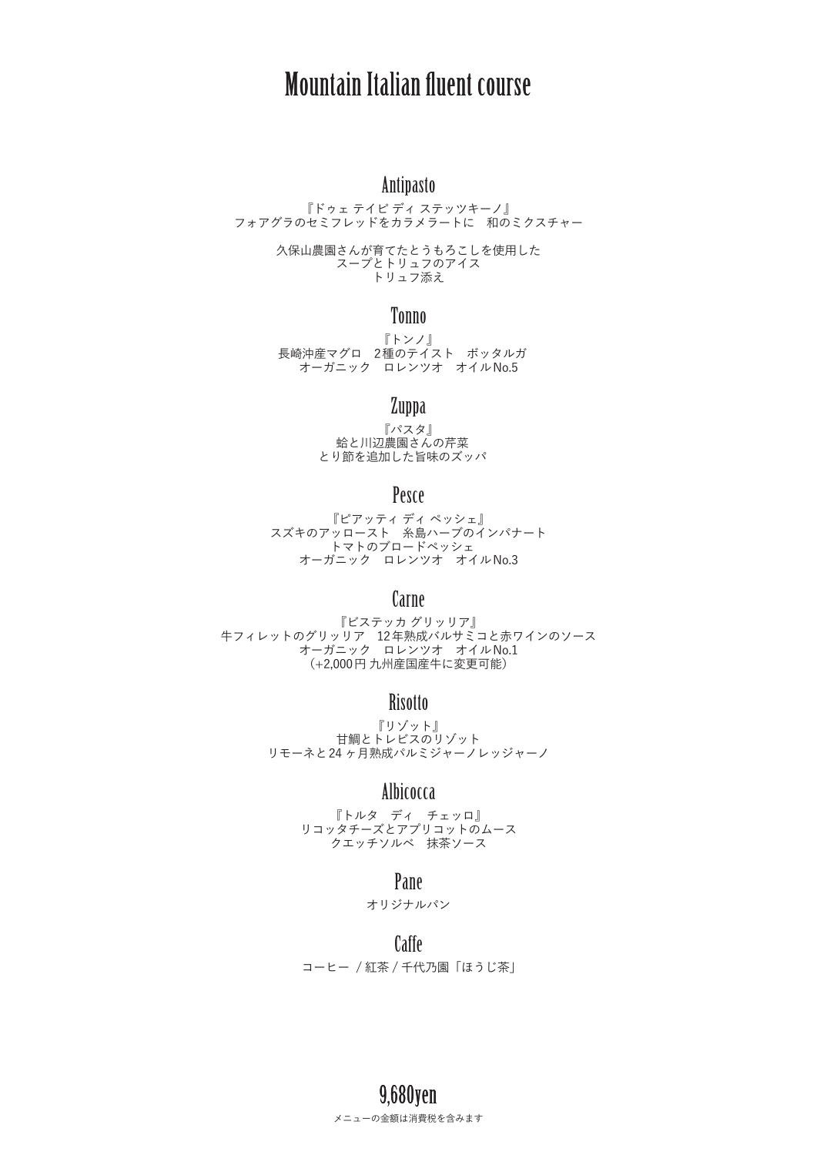# Mountain Italian fluent course

## Antipasto

『ドゥェ テイピ ディ ステッツキーノ』 フォアグラのセミフレッドをカラメラートに 和のミクスチャー

> 久保山農園さんが育てたとうもろこしを使用した スープとトリュフのアイス トリュフ添え

#### Tonno

『トンノ』 長崎沖産マグロ 2種のテイスト ボッタルガ オーガニック ロレンツオ オイルNo.5

## Zuppa

『パスタ』 蛤と川辺農園さんの芹菜 とり節を追加した旨味のズッパ

## Pesce

『ピアッティ ディ ペッシェ』 スズキのアッロースト 糸島ハーブのインパナート トマトのブロードペッシェ オーガニック ロレンツオ オイルNo.3

## Carne

『ビステッカ グリッリア』 牛フィレットのグリッリア 12年熟成バルサミコと赤ワインのソース オーガニック ロレンツオ オイルNo.1 (+2,000円 九州産国産牛に変更可能)

## **Risotto**

『リゾット』 甘鯛とトレビスのリゾット リモーネと24 ヶ月熟成パルミジャーノレッジャーノ

## Albicocca

『トルタ ディ チェッロ』 リコッタチーズとアプリコットのムース .<br>クエッチソルベ 抹茶ソース

### Pane

オリジナルパン

Caffe コーヒー / 紅茶 / 千代乃園「ほうじ茶」

> メニューの金額は消費税を含みます 9,680yen